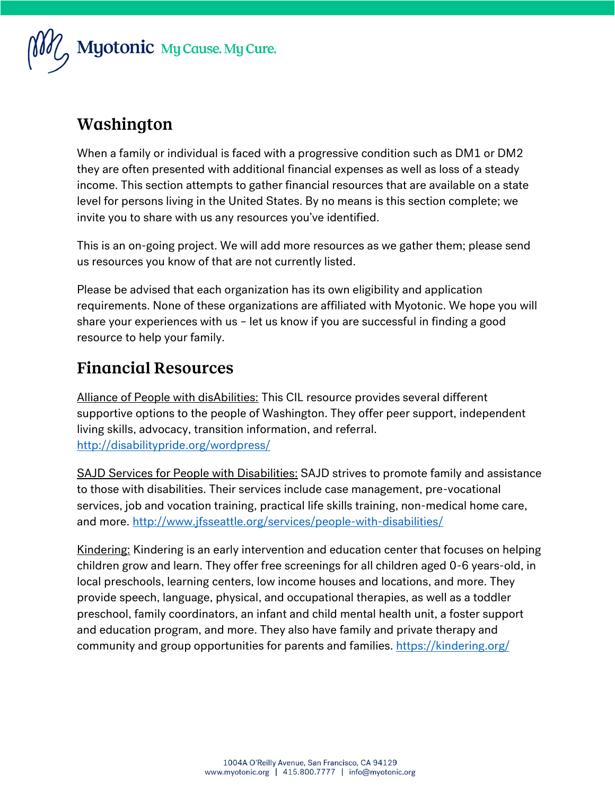

### Washington

When a family or individual is faced with a progressive condition such as DM1 or DM2 they are often presented with additional financial expenses as well as loss of a steady income. This section attempts to gather financial resources that are available on a state level for persons living in the United States. By no means is this section complete; we invite you to share with us any resources you've identified.

This is an on-going project. We will add more resources as we gather them; please send us resources you know of that are not currently listed.

Please be advised that each organization has its own eligibility and application requirements. None of these organizations are affiliated with Myotonic. We hope you will share your experiences with us – let us know if you are successful in finding a good resource to help your family.

### **Financial Resources**

Alliance of People with disAbilities: This CIL resource provides several different supportive options to the people of Washington. They offer peer support, independent living skills, advocacy, transition information, and referral. <http://disabilitypride.org/wordpress/>

SAJD Services for People with Disabilities: SAJD strives to promote family and assistance to those with disabilities. Their services include case management, pre-vocational services, job and vocation training, practical life skills training, non-medical home care, and more.<http://www.jfsseattle.org/services/people-with-disabilities/>

Kindering: Kindering is an early intervention and education center that focuses on helping children grow and learn. They offer free screenings for all children aged 0-6 years-old, in local preschools, learning centers, low income houses and locations, and more. They provide speech, language, physical, and occupational therapies, as well as a toddler preschool, family coordinators, an infant and child mental health unit, a foster support and education program, and more. They also have family and private therapy and community and group opportunities for parents and families.<https://kindering.org/>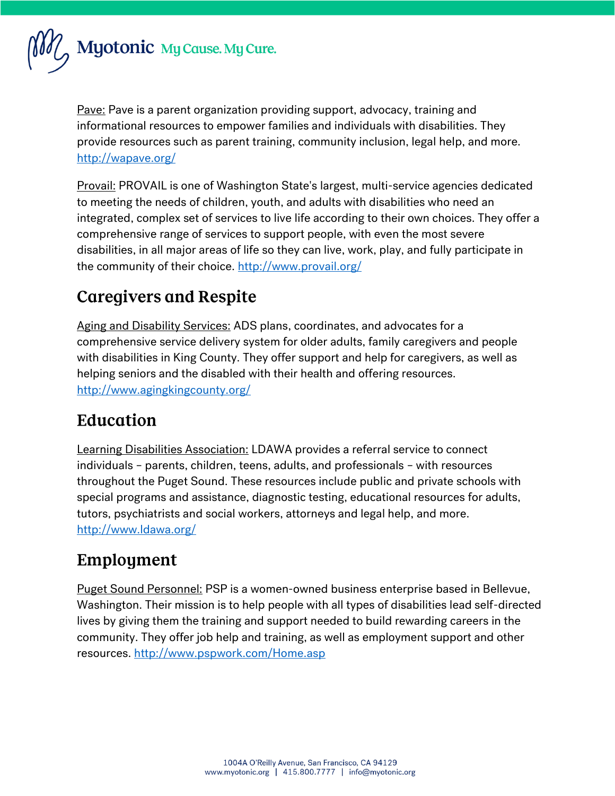

Pave: Pave is a parent organization providing support, advocacy, training and informational resources to empower families and individuals with disabilities. They provide resources such as parent training, community inclusion, legal help, and more. <http://wapave.org/>

Provail: PROVAIL is one of Washington State's largest, multi-service agencies dedicated to meeting the needs of children, youth, and adults with disabilities who need an integrated, complex set of services to live life according to their own choices. They offer a comprehensive range of services to support people, with even the most severe disabilities, in all major areas of life so they can live, work, play, and fully participate in the community of their choice.<http://www.provail.org/>

### **Caregivers and Respite**

Aging and Disability Services: ADS plans, coordinates, and advocates for a comprehensive service delivery system for older adults, family caregivers and people with disabilities in King County. They offer support and help for caregivers, as well as helping seniors and the disabled with their health and offering resources. <http://www.agingkingcounty.org/>

### Education

Learning Disabilities Association: LDAWA provides a referral service to connect individuals – parents, children, teens, adults, and professionals – with resources throughout the Puget Sound. These resources include public and private schools with special programs and assistance, diagnostic testing, educational resources for adults, tutors, psychiatrists and social workers, attorneys and legal help, and more. <http://www.ldawa.org/>

# Employment

Puget Sound Personnel: PSP is a women-owned business enterprise based in Bellevue, Washington. Their mission is to help people with all types of disabilities lead self-directed lives by giving them the training and support needed to build rewarding careers in the community. They offer job help and training, as well as employment support and other resources.<http://www.pspwork.com/Home.asp>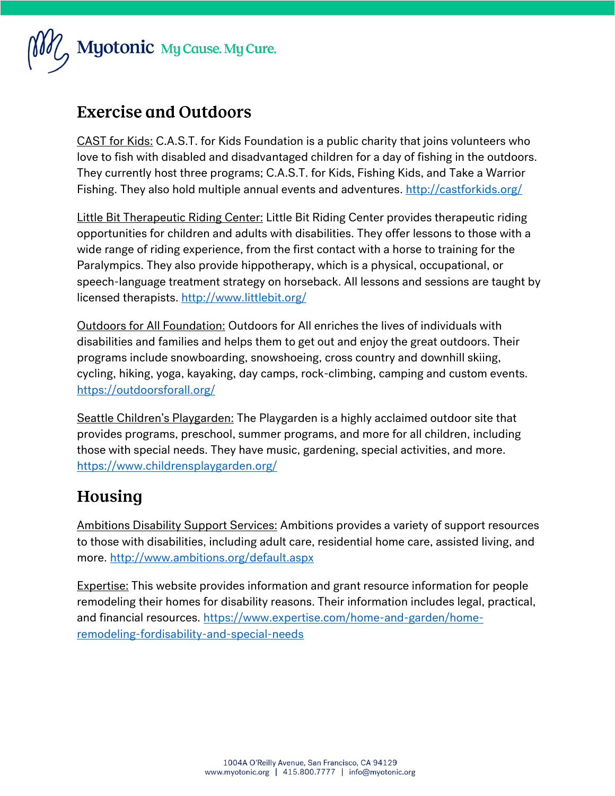

### **Exercise and Outdoors**

CAST for Kids: C.A.S.T. for Kids Foundation is a public charity that joins volunteers who love to fish with disabled and disadvantaged children for a day of fishing in the outdoors. They currently host three programs; C.A.S.T. for Kids, Fishing Kids, and Take a Warrior Fishing. They also hold multiple annual events and adventures[. http://castforkids.org/](http://castforkids.org/)

Little Bit Therapeutic Riding Center: Little Bit Riding Center provides therapeutic riding opportunities for children and adults with disabilities. They offer lessons to those with a wide range of riding experience, from the first contact with a horse to training for the Paralympics. They also provide hippotherapy, which is a physical, occupational, or speech-language treatment strategy on horseback. All lessons and sessions are taught by licensed therapists.<http://www.littlebit.org/>

Outdoors for All Foundation: Outdoors for All enriches the lives of individuals with disabilities and families and helps them to get out and enjoy the great outdoors. Their programs include snowboarding, snowshoeing, cross country and downhill skiing, cycling, hiking, yoga, kayaking, day camps, rock-climbing, camping and custom events. <https://outdoorsforall.org/>

Seattle Children's Playgarden: The Playgarden is a highly acclaimed outdoor site that provides programs, preschool, summer programs, and more for all children, including those with special needs. They have music, gardening, special activities, and more. <https://www.childrensplaygarden.org/>

## Housing

Ambitions Disability Support Services: Ambitions provides a variety of support resources to those with disabilities, including adult care, residential home care, assisted living, and more.<http://www.ambitions.org/default.aspx>

**Expertise:** This website provides information and grant resource information for people remodeling their homes for disability reasons. Their information includes legal, practical, and financial resources. [https://www.expertise.com/home-and-garden/home](https://www.expertise.com/home-and-garden/home-remodeling-fordisability-and-special-needs)[remodeling-fordisability-and-special-needs](https://www.expertise.com/home-and-garden/home-remodeling-fordisability-and-special-needs)